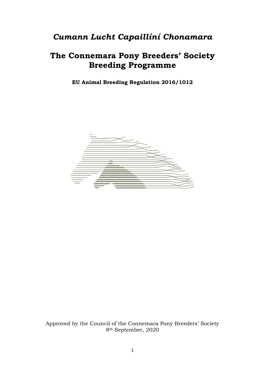# *Cumann Lucht Capaillíní Chonamara*

# **The Connemara Pony Breeders' Society Breeding Programme**

**EU Animal Breeding Regulation 2016/1012** 



Approved by the Council of the Connemara Pony Breeders' Society 8th September, 2020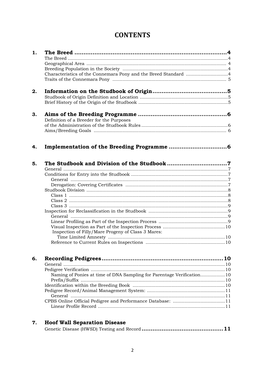# **CONTENTS**

| 1. |                                                                       |
|----|-----------------------------------------------------------------------|
|    |                                                                       |
|    |                                                                       |
|    |                                                                       |
|    |                                                                       |
|    |                                                                       |
| 2. |                                                                       |
|    |                                                                       |
|    |                                                                       |
| 3. |                                                                       |
|    | Definition of a Breeder for the Purposes                              |
|    |                                                                       |
|    |                                                                       |
|    |                                                                       |
| 4. |                                                                       |
|    |                                                                       |
| 5. |                                                                       |
|    |                                                                       |
|    |                                                                       |
|    |                                                                       |
|    |                                                                       |
|    |                                                                       |
|    |                                                                       |
|    |                                                                       |
|    |                                                                       |
|    |                                                                       |
|    |                                                                       |
|    |                                                                       |
|    | Inspection of Filly/Mare Progeny of Class 3 Mares:                    |
|    |                                                                       |
|    |                                                                       |
|    |                                                                       |
| 6. | 10                                                                    |
|    |                                                                       |
|    |                                                                       |
|    | Naming of Ponies at time of DNA Sampling for Parentage Verification10 |
|    |                                                                       |
|    |                                                                       |
|    |                                                                       |
|    |                                                                       |
|    | CPBS Online Official Pedigree and Performance Database: 11            |
|    |                                                                       |
|    |                                                                       |

| <b>Hoof Wall Separation Disease</b> |
|-------------------------------------|
|                                     |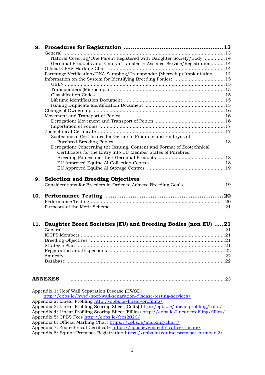| 8.  |                                                                                                                                                                                            |  |
|-----|--------------------------------------------------------------------------------------------------------------------------------------------------------------------------------------------|--|
|     |                                                                                                                                                                                            |  |
|     | Natural Covering/One Parent Registered with Daughter Society/Body14                                                                                                                        |  |
|     | Germinal Products and Embryo Transfer in Assisted Service/Registration 14                                                                                                                  |  |
|     |                                                                                                                                                                                            |  |
|     | Parentage Verification/DNA Sampling/Transponder (Microchip) Implantation 14                                                                                                                |  |
|     |                                                                                                                                                                                            |  |
|     |                                                                                                                                                                                            |  |
|     |                                                                                                                                                                                            |  |
|     |                                                                                                                                                                                            |  |
|     |                                                                                                                                                                                            |  |
|     |                                                                                                                                                                                            |  |
|     |                                                                                                                                                                                            |  |
|     |                                                                                                                                                                                            |  |
|     |                                                                                                                                                                                            |  |
|     |                                                                                                                                                                                            |  |
|     |                                                                                                                                                                                            |  |
|     |                                                                                                                                                                                            |  |
|     | Zootechnical Certificates for Germinal Products and Embryos of                                                                                                                             |  |
|     |                                                                                                                                                                                            |  |
|     | Derogation: Concerning the Issuing, Content and Format of Zootechnical                                                                                                                     |  |
|     | Certificates for the Entry into EU Member States of Purebred                                                                                                                               |  |
|     |                                                                                                                                                                                            |  |
|     |                                                                                                                                                                                            |  |
|     |                                                                                                                                                                                            |  |
|     |                                                                                                                                                                                            |  |
|     | 9. Selection and Breeding Objectives<br>Considerations for Breeders in Order to Achieve Breeding Goals19                                                                                   |  |
| 10. |                                                                                                                                                                                            |  |
|     |                                                                                                                                                                                            |  |
|     |                                                                                                                                                                                            |  |
|     |                                                                                                                                                                                            |  |
| 11. | Daughter Breed Societies (EU) and Breeding Bodies (non EU) 21                                                                                                                              |  |
|     | <b>ANNEXES</b><br>Appendix 1: Hoof Wall Separation Disease (HWSD)<br>http://cpbs.ie/hwsd-hoof-wall-separation-disease-testing-services/                                                    |  |
|     | Appendix 2: Linear Profiling http://cpbs.ie/linear-profiling/                                                                                                                              |  |
|     | Appendix 3: Linear Profiling Scoring Sheet (Colts) http://cpbs.ie/linear-profiling/colts/<br>Appendix 4: Linear Profiling Scoring Sheet (Fillies) http://cpbs.ie/linear-profiling/fillies/ |  |
|     | Appendix 5: CPBS Fees http://cpbs.ie/fees2020/                                                                                                                                             |  |

- Appendix 6: Official Marking Chart<https://cpbs.ie/marking-chart/>
- Appendix 7: Zootechnical Certificate<https://cpbs.ie/zootechnical-certificate/>
- Appendix 8: Equine Premises Registration<https://cpbs.ie/equine-premises-number-2/>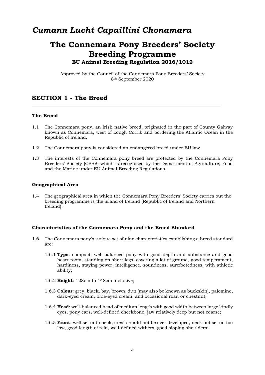# *Cumann Lucht Capaillíní Chonamara*

# **The Connemara Pony Breeders' Society Breeding Programme EU Animal Breeding Regulation 2016/1012**

Approved by the Council of the Connemara Pony Breeders' Society 8th September 2020

# **SECTION 1 - The Breed**

## **The Breed**

- 1.1 The Connemara pony, an Irish native breed, originated in the part of County Galway known as Connemara, west of Lough Corrib and bordering the Atlantic Ocean in the Republic of Ireland.
- 1.2 The Connemara pony is considered an endangered breed under EU law.
- 1.3 The interests of the Connemara pony breed are protected by the Connemara Pony Breeders' Society (CPBS) which is recognised by the Department of Agriculture, Food and the Marine under EU Animal Breeding Regulations.

#### **Geographical Area**

1.4 The geographical area in which the Connemara Pony Breeders' Society carries out the breeding programme is the island of Ireland (Republic of Ireland and Northern Ireland).

## **Characteristics of the Connemara Pony and the Breed Standard**

- 1.6 The Connemara pony's unique set of nine characteristics establishing a breed standard are:
	- 1.6.1 **Type**: compact, well-balanced pony with good depth and substance and good heart room, standing on short legs, covering a lot of ground, good temperament, hardiness, staying power, intelligence, soundness, surefootedness, with athletic ability;
	- 1.6.2 **Height**: 128cm to 148cm inclusive;
	- 1.6.3 **Colour**: grey, black, bay, brown, dun (may also be known as buckskin), palomino, dark-eyed cream, blue-eyed cream, and occasional roan or chestnut;
	- 1.6.4 **Head**: well-balanced head of medium length with good width between large kindly eyes, pony ears, well-defined cheekbone, jaw relatively deep but not coarse;
	- 1.6.5 **Front**: well set onto neck, crest should not be over developed, neck not set on too low, good length of rein, well-defined withers, good sloping shoulders;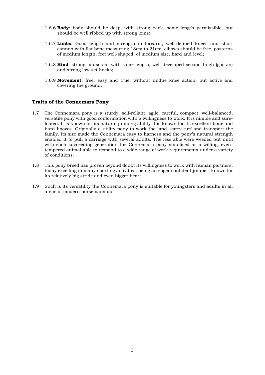- 1.6.6 **Body**: body should be deep, with strong back, some length permissible, but should be well ribbed up with strong loins;
- 1.6.7 **Limbs**: Good length and strength in forearm, well-defined knees and short cannon with flat bone measuring 18cm to 21cm, elbows should be free, pasterns of medium length, feet well-shaped, of medium size, hard and level;
- 1.6.8 **Hind**: strong, muscular with some length, well-developed second thigh (gaskin) and strong low-set hocks;
- 1.6.9 **Movement**: free, easy and true, without undue knee action, but active and covering the ground.

#### **Traits of the Connemara Pony**

- 1.7 The Connemara pony is a sturdy, self-reliant, agile, careful, compact, well-balanced, versatile pony with good conformation with a willingness to work. It is nimble and surefooted. It is known for its natural jumping ability It is known for its excellent bone and hard hooves. Originally a utility pony to work the land, carry turf and transport the family, its size made the Connemara easy to harness and the pony's natural strength enabled it to pull a carriage with several adults. The less able were weeded out until with each succeeding generation the Connemara pony stabilised as a willing, eventempered animal able to respond to a wide range of work requirements under a variety of conditions.
- 1.8 This pony breed has proven beyond doubt its willingness to work with human partners, today excelling in many sporting activities, being an eager confident jumper, known for its relatively big stride and even bigger heart.
- 1.9 Such is its versatility the Connemara pony is suitable for youngsters and adults in all areas of modern horsemanship.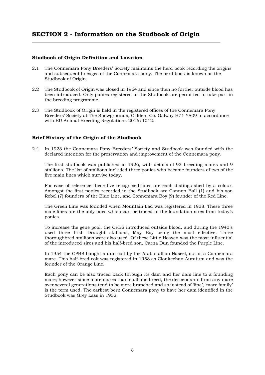# **Studbook of Origin Definition and Location**

- 2.1 The Connemara Pony Breeders' Society maintains the herd book recording the origins and subsequent lineages of the Connemara pony. The herd book is known as the Studbook of Origin.
- 2.2 The Studbook of Origin was closed in 1964 and since then no further outside blood has been introduced. Only ponies registered in the Studbook are permitted to take part in the breeding programme.
- 2.3 The Studbook of Origin is held in the registered offices of the Connemara Pony Breeders' Society at The Showgrounds, Clifden, Co. Galway H71 YA09 in accordance with EU Animal Breeding Regulations 2016/1012.

# **Brief History of the Origin of the Studbook**

2.4 In 1923 the Connemara Pony Breeders' Society and Studbook was founded with the declared intention for the preservation and improvement of the Connemara pony.

The first studbook was published in 1926, with details of 93 breeding mares and 9 stallions. The list of stallions included three ponies who became founders of two of the five main lines which survive today.

For ease of reference these five recognised lines are each distinguished by a colour. Amongst the first ponies recorded in the Studbook are Cannon Ball (1) and his son Rebel (7) founders of the Blue Line, and Connemara Boy (9) founder of the Red Line.

The Green Line was founded when Mountain Lad was registered in 1938. These three male lines are the only ones which can be traced to the foundation sires from today's ponies.

To increase the gene pool, the CPBS introduced outside blood, and during the 1940's used three Irish Draught stallions, May Boy being the most effective. Three thoroughbred stallions were also used. Of these Little Heaven was the most influential of the introduced sires and his half-bred son, Carna Dun founded the Purple Line.

In 1954 the CPBS bought a dun colt by the Arab stallion Naseel, out of a Connemara mare. This half-bred colt was registered in 1958 as Clonkeehan Auratum and was the founder of the Orange Line.

Each pony can be also traced back through its dam and her dam line to a founding mare; however since more mares than stallions breed, the descendants from any mare over several generations tend to be more branched and so instead of 'line', 'mare family' is the term used. The earliest born Connemara pony to have her dam identified in the Studbook was Grey Lass in 1932.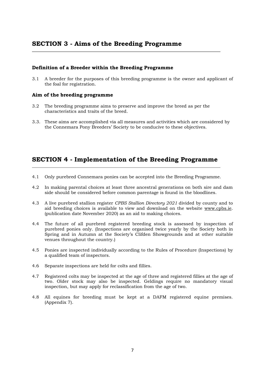# **Definition of a Breeder within the Breeding Programme**

3.1 A breeder for the purposes of this breeding programme is the owner and applicant of the foal for registration.

## **Aim of the breeding programme**

- 3.2 The breeding programme aims to preserve and improve the breed as per the characteristics and traits of the breed.
- 3.3. These aims are accomplished via all measures and activities which are considered by the Connemara Pony Breeders' Society to be conducive to these objectives.

# **SECTION 4 - Implementation of the Breeding Programme**

- 4.1 Only purebred Connemara ponies can be accepted into the Breeding Programme.
- 4.2 In making parental choices at least three ancestral generations on both sire and dam side should be considered before common parentage is found in the bloodlines.
- 4.3 A live purebred stallion register *CPBS Stallion Directory 2021* divided by county and to aid breeding choices is available to view and download on the website [www.cpbs.ie.](http://www.cpbs.ie/) (publication date November 2020) as an aid to making choices.
- 4.4 The future of all purebred registered breeding stock is assessed by inspection of purebred ponies only. (Inspections are organised twice yearly by the Society both in Spring and in Autumn at the Society's Clifden Showgrounds and at other suitable venues throughout the country.)
- 4.5 Ponies are inspected individually according to the Rules of Procedure (Inspections) by a qualified team of inspectors.
- 4.6 Separate inspections are held for colts and fillies.
- 4.7 Registered colts may be inspected at the age of three and registered fillies at the age of two. Older stock may also be inspected. Geldings require no mandatory visual inspection, but may apply for reclassification from the age of two.
- 4.8 All equines for breeding must be kept at a DAFM registered equine premises. (Appendix 7).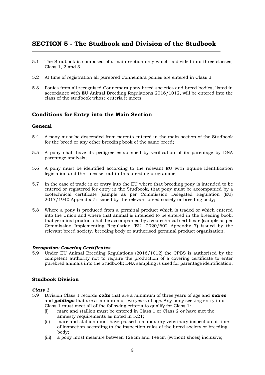# **SECTION 5 - The Studbook and Division of the Studbook**

- 5.1 The Studbook is composed of a main section only which is divided into three classes, Class 1, 2 and 3.
- 5.2 At time of registration all purebred Connemara ponies are entered in Class 3.
- 5.3 Ponies from all recognised Connemara pony breed societies and breed bodies, listed in accordance with EU Animal Breeding Regulations 2016/1012, will be entered into the class of the studbook whose criteria it meets.

# **Conditions for Entry into the Main Section**

#### **General**

- 5.4 A pony must be descended from parents entered in the main section of the Studbook for the breed or any other breeding book of the same breed;
- 5.5 A pony shall have its pedigree established by verification of its parentage by DNA parentage analysis;
- 5.6 A pony must be identified according to the relevant EU with Equine Identification legislation and the rules set out in this breeding programme;
- 5.7 In the case of trade in or entry into the EU where that breeding pony is intended to be entered or registered for entry in the Studbook, that pony must be accompanied by a zootechnical certificate (sample as per Commission Delegated Regulation (EU) 2017/1940 Appendix 7) issued by the relevant breed society or breeding body;
- 5.8 Where a pony is produced from a germinal product which is traded or which entered into the Union and where that animal is intended to be entered in the breeding book, that germinal product shall be accompanied by a zootechnical certificate (sample as per Commission Implementing Regulation (EU) 2020/602 Appendix 7) issued by the relevant breed society, breeding body or authorised germinal product organisation.

#### *Derogation: Covering Certificates*

5.9 Under EU Animal Breeding Regulations (2016/1012) the CPBS is authorised by the competent authority not to require the production of a covering certificate to enter purebred animals into the Studbook**;** DNA sampling is used for parentage identification.

## **Studbook Division**

#### *Class 1*

- 5.9 Division Class 1 records *colts* that are a minimum of three years of age and *mares* and *geldings* that are a minimum of two years of age. Any pony seeking entry into Class 1 must meet all of the following criteria to qualify for Class 1:
	- (i) mare and stallion must be entered in Class 1 or Class 2 or have met the amnesty requirements as noted in 5.21;
	- (ii) mare and stallion must have passed a mandatory veterinary inspection at time of inspection according to the inspection rules of the breed society or breeding body;
	- (iii) a pony must measure between 128cm and 148cm (without shoes) inclusive;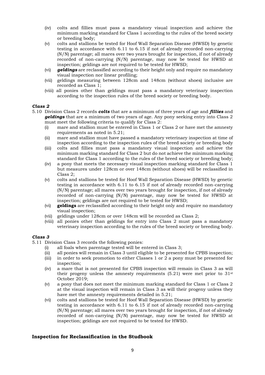- (iv) colts and fillies must pass a mandatory visual inspection and achieve the minimum marking standard for Class 1 according to the rules of the breed society or breeding body;
- (v) colts and stallions be tested for Hoof Wall Separation Disease (HWSD) by genetic testing in accordance with 6.11 to 6.15 if not of already recorded non-carrying (N/N) parentage; all mares over two years brought for inspection, if not of already recorded of non-carrying (N/N) parentage, may now be tested for HWSD at inspection; geldings are not required to be tested for HWSD;
- (vi) *geldings* are reclassified according to their height only and require no mandatory visual inspection nor linear profiling;
- (vii) geldings measuring between 128cm and 148cm (without shoes) inclusive are recorded as Class 1;
- (viii) all ponies other than geldings must pass a mandatory veterinary inspection according to the inspection rules of the breed society or breeding body.

#### *Class 2*

- 5.10 Division Class 2 records *colts* that are a minimum of three years of age and *fillies* and *geldings* that are a minimum of two years of age. Any pony seeking entry into Class 2 must meet the following criteria to qualify for Class 2:
	- (i) mare and stallion must be entered in Class 1 or Class 2 or have met the amnesty requirements as noted in 5.21;
	- (ii) mare and stallion must have passed a mandatory veterinary inspection at time of inspection according to the inspection rules of the breed society or breeding body
	- (iii) colts and fillies must pass a mandatory visual inspection and achieve the minimum marking standard for Class 2 but do not achieve the minimum marking standard for Class 1 according to the rules of the breed society or breeding body;
	- (iv) a pony that meets the necessary visual inspection marking standard for Class 1 but measures under 128cm or over 148cm (without shoes) will be reclassified in Class 2;
	- (v) colts and stallions be tested for Hoof Wall Separation Disease (HWSD) by genetic testing in accordance with 6.11 to 6.15 if not of already recorded non-carrying (N/N) parentage; all mares over two years brought for inspection, if not of already recorded of non-carrying (N/N) parentage, may now be tested for HWSD at inspection; geldings are not required to be tested for HWSD;
	- (vi) **geldings** are reclassified according to their height only and require no mandatory visual inspection;
	- (vii) geldings under 128cm or over 148cm will be recorded as Class 2;
	- (viii) all ponies other than geldings for entry into Class 2 must pass a mandatory veterinary inspection according to the rules of the breed society or breeding body.

#### *Class 3*

- 5.11 Division Class 3 records the following ponies:
	- (i) all foals when parentage tested will be entered in Class 3;
	- (ii) all ponies will remain in Class 3 until eligible to be presented for CPBS inspection;
	- (iii) in order to seek promotion to either Classes 1 or 2 a pony must be presented for inspection;
	- (iv) a mare that is not presented for CPBS inspection will remain in Class 3 as will their progeny unless the amnesty requirements  $(5.21)$  were met prior to  $31<sup>st</sup>$ October 2019;
	- (v) a pony that does not meet the minimum marking standard for Class 1 or Class 2 at the visual inspection will remain in Class 3 as will their progeny unless they have met the amnesty requirements detailed in 5.21;
	- (vi) colts and stallions be tested for Hoof Wall Separation Disease (HWSD) by genetic testing in accordance with 6.11 to 6.15 if not of already recorded non-carrying (N/N) parentage; all mares over two years brought for inspection, if not of already recorded of non-carrying (N/N) parentage, may now be tested for HWSD at inspection; geldings are not required to be tested for HWSD.

#### **Inspection for Reclassification in the Studbook**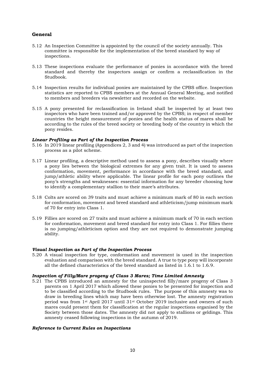# **General**

- 5.12 An Inspection Committee is appointed by the council of the society annually. This committee is responsible for the implementation of the breed standard by way of inspections.
- 5.13 These inspections evaluate the performance of ponies in accordance with the breed standard and thereby the inspectors assign or confirm a reclassification in the Studbook.
- 5.14 Inspection results for individual ponies are maintained by the CPBS office. Inspection statistics are reported to CPBS members at the Annual General Meeting, and notified to members and breeders via newsletter and recorded on the website.
- 5.15 A pony presented for reclassification in Ireland shall be inspected by at least two inspectors who have been trained and/or approved by the CPBS; in respect of member countries the height measurement of ponies and the health status of mares shall be according to the rules of the breed society or breeding body of the country in which the pony resides.

#### *Linear Profiling as Part of the Inspection Process*

- 5.16 In 2019 linear profiling (Appendices 2, 3 and 4) was introduced as part of the inspection process as a pilot scheme.
- 5.17 Linear profiling, a descriptive method used to assess a pony, describes visually where a pony lies between the biological extremes for any given trait. It is used to assess conformation, movement, performance in accordance with the breed standard, and jump/athletic ability where applicable. The linear profile for each pony outlines the pony's strengths and weaknesses: essential information for any breeder choosing how to identify a complementary stallion to their mare's attributes.
- 5.18 Colts are scored on 39 traits and must achieve a minimum mark of 80 in each section for conformation, movement and breed standard and athleticism/jump minimum mark of 70 for entry into Class 1.
- 5.19 Fillies are scored on 27 traits and must achieve a minimum mark of 70 in each section for conformation, movement and breed standard for entry into Class 1. For fillies there is no jumping/athleticism option and they are not required to demonstrate jumping ability.

#### *Visual Inspection as Part of the Inspection Process*

5.20 A visual inspection for type, conformation and movement is used in the inspection evaluation and comparison with the breed standard. A true to type pony will incorporate all the defined characteristics of the breed standard as listed in 1.6.1 to 1.6.9.

#### *Inspection of Filly/Mare progeny of Class 3 Mares; Time Limited Amnesty*

5.21 The CPBS introduced an amnesty for the uninspected filly/mare progeny of Class 3 parents on 1 April 2017 which allowed these ponies to be presented for inspection and to be classified according to the Studbook rules. The purpose of this amnesty was to draw in breeding lines which may have been otherwise lost. The amnesty registration period was from 1st April 2017 until 31st October 2019 inclusive and owners of such mares could present them for classification at the regular inspections organised by the Society between those dates. The amnesty did not apply to stallions or geldings. This amnesty ceased following inspections in the autumn of 2019.

#### *Reference to Current Rules on Inspections*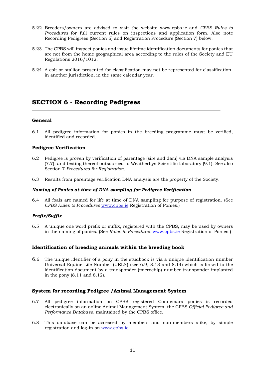- 5.22 Breeders/owners are advised to visit the website [www.cpbs.ie](http://www.cpbs.ie/) and *CPBS Rules to Procedures* for full current rules on inspections and application form. Also note Recording Pedigrees (Section 6) and Registration Procedure (Section 7) below.
- 5.23 The CPBS will inspect ponies and issue lifetime identification documents for ponies that are not from the home geographical area according to the rules of the Society and EU Regulations 2016/1012.
- 5.24 A colt or stallion presented for classification may not be represented for classification, in another jurisdiction, in the same calendar year.

# **SECTION 6 - Recording Pedigrees**

# **General**

6.1 All pedigree information for ponies in the breeding programme must be verified, identified and recorded.

# **Pedigree Verification**

- 6.2 Pedigree is proven by verification of parentage (sire and dam) via DNA sample analysis (7.7), and testing thereof outsourced to Weatherbys Scientific laboratory (9.1). See also Section 7 *Procedures for Registration*.
- 6.3 Results from parentage verification DNA analysis are the property of the Society.

#### *Naming of Ponies at time of DNA sampling for Pedigree Verification*

6.4 All foals are named for life at time of DNA sampling for purpose of registration. (See *CPBS Rules to Procedures* www.cpbs.ie Registration of Ponies.)

## *Prefix/Suffix*

6.5 A unique one word prefix or suffix, registered with the CPBS, may be used by owners in the naming of ponies. (See *Rules to Procedures* [www.cpbs.ie](http://www.cpbs.ie/) Registration of Ponies.)

## **Identification of breeding animals within the breeding book**

6.6 The unique identifier of a pony in the studbook is via a unique identification number Universal Equine Life Number (UELN) (see 6.9, 8.13 and 8.14) which is linked to the identification document by a transponder (microchip) number transponder implanted in the pony (8.11 and 8.12).

## **System for recording Pedigree /Animal Management System**

- 6.7 All pedigree information on CPBS registered Connemara ponies is recorded electronically on an online Animal Management System, the CPBS *Official Pedigree and Performance Database*, maintained by the CPBS office.
- 6.8 This database can be accessed by members and non-members alike, by simple registration and log-in on [www.cpbs.ie.](http://www.cpbs.ie/)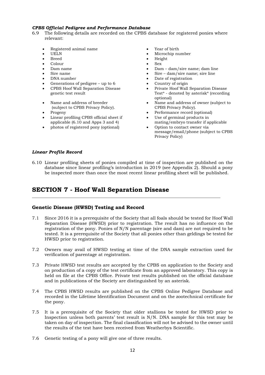## *CPBS Official Pedigree and Performance Database*

- 6.9 The following details are recorded on the CPBS database for registered ponies where relevant:
	- Registered animal name Year of birth
	-
	-
	- Colour Sex
	-
	-
	-
	- Generations of pedigree up to 6 Country of origin
	- CPBS Hoof Wall Separation Disease genetic test result
	- Name and address of breeder (subject to CPBS Privacy Policy).
	-
	- Linear profiling CPBS official sheet if applicable (6.10 and Apps 3 and 4)
	- photos of registered pony (optional) Option to contact owner via
- 
- UELN Microchip number
- Breed Height
	-
	- Dam name Dam dam/sire name; dam line
	- Sire name Sire dam/sire name; sire line
	- DNA number Date of registration
		-
		- Private Hoof Wall Separation Disease Test\* - denoted by asterisk\* (recording optional)
		- Name and address of owner (subject to CPBS Privacy Policy).
	- Progeny Performance record (optional)
		- Use of germinal products in mating/embryo transfer if applicable
		- message/email/phone (subject to CPBS Privacy Policy)

## *Linear Profile Record*

6.10 Linear profiling sheets of ponies compiled at time of inspection are published on the database since linear profiling's introduction in 2019 (see Appendix 2). Should a pony be inspected more than once the most recent linear profiling sheet will be published.

# **SECTION 7 - Hoof Wall Separation Disease**

## **Genetic Disease (HWSD) Testing and Record**

- 7.1 Since 2016 it is a prerequisite of the Society that all foals should be tested for Hoof Wall Separation Disease (HWSD) prior to registration. The result has no influence on the registration of the pony. Ponies of N/N parentage (sire and dam) are not required to be tested. It is a prerequisite of the Society that all ponies other than geldings be tested for HWSD prior to registration.
- 7.2 Owners may avail of HWSD testing at time of the DNA sample extraction used for verification of parentage at registration.
- 7.3 Private HWSD test results are accepted by the CPBS on application to the Society and on production of a copy of the test certificate from an approved laboratory. This copy is held on file at the CPBS Office. Private test results published on the official database and in publications of the Society are distinguished by an asterisk.
- 7.4 The CPBS HWSD results are published on the CPBS Online Pedigree Database and recorded in the Lifetime Identification Document and on the zootechnical certificate for the pony.
- 7.5 It is a prerequisite of the Society that older stallions be tested for HWSD prior to Inspection unless both parents' test result is N/N. DNA sample for this test may be taken on day of inspection. The final classification will not be advised to the owner until the results of the test have been received from Weatherbys Scientific.
- 7.6 Genetic testing of a pony will give one of three results.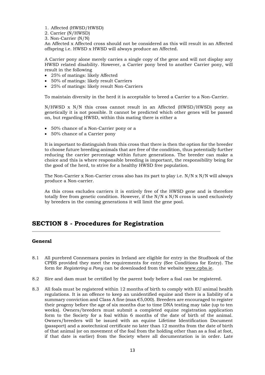- 1. Affected (HWSD/HWSD)
- 2. Carrier (N/HWSD)
- 3. Non-Carrier (N/N)

An Affected x Affected cross should not be considered as this will result in an Affected offspring i.e. HWSD x HWSD will always produce an Affected.

A Carrier pony alone merely carries a single copy of the gene and will not display any HWSD related disability. However, a Carrier pony bred to another Carrier pony, will result in the following

- 25% of matings: likely Affected
- 50% of matings: likely result Carriers
- 25% of matings: likely result Non-Carriers

To maintain diversity in the herd it is acceptable to breed a Carrier to a Non-Carrier.

 $N/HWSD \times N/N$  this cross cannot result in an Affected (HWSD/HWSD) pony as genetically it is not possible. It cannot be predicted which other genes will be passed on, but regarding HWSD, within this mating there is either a

- 50% chance of a Non-Carrier pony or a
- 50% chance of a Carrier pony

It is important to distinguish from this cross that there is then the option for the breeder to choose future breeding animals that are free of the condition, thus potentially further reducing the carrier percentage within future generations. The breeder can make a choice and this is where responsible breeding is important, the responsibility being for the good of the herd, to strive for a healthy HWSD free population.

The Non-Carrier x Non-Carrier cross also has its part to play i.e. N/N x N/N will always produce a Non-carrier.

As this cross excludes carriers it is entirely free of the HWSD gene and is therefore totally free from genetic condition. However, if the  $N/N \times N/N$  cross is used exclusively by breeders in the coming generations it will limit the gene pool.

# **SECTION 8 - Procedures for Registration**

## **General**

- 8.1 All purebred Connemara ponies in Ireland are eligible for entry in the Studbook of the CPBS provided they meet the requirements for entry (See Conditions for Entry). The form for *Registering a Pony* can be downloaded from the website www.cpbs.ie.
- 8.2 Sire and dam must be certified by the parent body before a foal can be registered.
- 8.3 All foals must be registered within 12 months of birth to comply with EU animal health regulations. It is an offence to keep an unidentified equine and there is a liability of a summary conviction and Class A fine (max  $\epsilon$ 5,000). Breeders are encouraged to register their progeny before the age of six months due to time DNA testing may take (up to ten weeks). Owners/breeders must submit a completed equine registration application form to the Society for a foal within 6 months of the date of birth of the animal. Owners/breeders will be issued with an equine Lifetime Identification Document (passport) and a zootechnical certificate no later than 12 months from the date of birth of that animal (or on movement of the foal from the holding other than as a foal at foot, if that date is earlier) from the Society where all documentation is in order. Late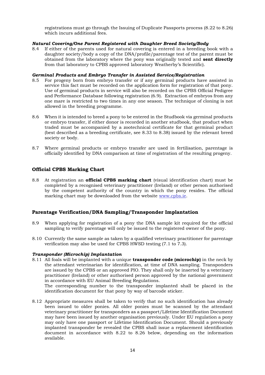registrations must go through the Issuing of Duplicate Passports process (8.22 to 8.26) which incurs additional fees.

## *Natural Covering/One Parent Registered with Daughter Breed Society/Body*

8.4 If either of the parents used for natural covering is entered in a breeding book with a daughter society/body a copy of the DNA/profile/parentage test of the parent must be obtained from the laboratory where the pony was originally tested and **sent directly**  from that laboratory to CPBS approved laboratory Weatherby's Scientific).

## *Germinal Products and Embryo Transfer in Assisted Service/Registration*

- 8.5 For progeny born from embryo transfer or if any germinal products have assisted in service this fact must be recorded on the application form for registration of that pony. Use of germinal products in service will also be recorded on the CPBS Official Pedigree and Performance Database following registration (6.9). Extraction of embryos from any one mare is restricted to two times in any one season. The technique of cloning is not allowed in the breeding programme.
- 8.6 When it is intended to breed a pony to be entered in the Studbook via germinal products or embryo transfer, if either donor is recorded in another studbook, that product when traded must be accompanied by a zootechnical certificate for that germinal product (best described as a breeding certificate, see 8.33 to 8.38) issued by the relevant breed society or body.
- 8.7 Where germinal products or embryo transfer are used in fertilisation, parentage is officially identified by DNA comparison at time of registration of the resulting progeny.

# **Official CPBS Marking Chart**

8.8 At registration an **official CPBS marking chart** (visual identification chart) must be completed by a recognised veterinary practitioner (Ireland) or other person authorised by the competent authority of the country in which the pony resides. The official marking chart may be downloaded from the website www.cpbs.ie.

# **Parentage Verification/DNA Sampling/Transponder Implantation**

- 8.9 When applying for registration of a pony the DNA sample kit required for the official sampling to verify parentage will only be issued to the registered owner of the pony.
- 8.10 Currently the same sample as taken by a qualified veterinary practitioner for parentage verification may also be used for CPBS HWSD testing (7.1 to 7.3).

## *Transponder (Microchip) Implantation*

8.11 All foals will be implanted with a unique **transponder code (microchip)** in the neck by the attendant veterinarian for identification, at time of DNA sampling. Transponders are issued by the CPBS or an approved PIO. They shall only be inserted by a veterinary practitioner (Ireland) or other authorised person approved by the national government in accordance with EU Animal Breeding Regulations.

The corresponding number to the transponder implanted shall be placed in the identification document for that pony by way of barcode sticker.

8.12 Appropriate measures shall be taken to verify that no such identification has already been issued to older ponies. All older ponies must be scanned by the attendant veterinary practitioner for transponders as a passport/Lifetime Identification Document may have been issued by another organisation previously. Under EU regulation a pony may only have one passport or Lifetime Identification Document. Should a previously implanted transponder be revealed the CPBS shall issue a replacement identification document in accordance with 8.22 to 8.26 below, depending on the information available.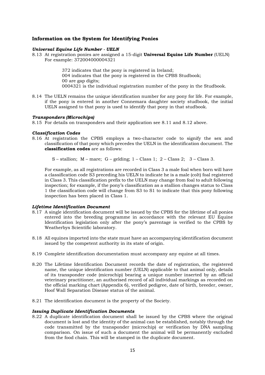## **Information on the System for Identifying Ponies**

#### *Universal Equine Life Number - UELN*

8.13 At registration ponies are assigned a 15-digit **Universal Equine Life Number** (UELN) For example: 372004000004321

> 372 indicates that the pony is registered in Ireland; 004 indicates that the pony is registered in the CPBS Studbook; 00 are gap digits; 0004321 is the individual registration number of the pony in the Studbook.

8.14 The UELN remains the unique identification number for any pony for life. For example, if the pony is entered in another Connemara daughter society studbook, the initial UELN assigned to that pony is used to identify that pony in that studbook.

#### *Transponders (Microchips)*

8.15 For details on transponders and their application see 8.11 and 8.12 above.

#### *Classification Codes*

8.16 At registration the CPBS employs a two-character code to signify the sex and classification of that pony which precedes the UELN in the identification document. The **classification codes** are as follows:

S – stallion:  $M$  – mare:  $G$  – gelding:  $1$  – Class 1:  $2$  – Class 2:  $3$  – Class 3.

For example, as all registrations are recorded in Class 3 a male foal when born will have a classification code S3 preceding his UELN to indicate he is a male (colt) foal registered in Class 3. This classification prefix to the UELN may change from foal to adult following inspection; for example, if the pony's classification as a stallion changes status to Class 1 the classification code will change from S3 to S1 to indicate that this pony following inspection has been placed in Class 1.

## *Lifetime Identification Document*

- 8.17 A single identification document will be issued by the CPBS for the lifetime of all ponies entered into the breeding programme in accordance with the relevant EU Equine Identification legislation only after the pony's parentage is verified to the CPBS by Weatherbys Scientific laboratory.
- 8.18 All equines imported into the state must have an accompanying identification document issued by the competent authority in its state of origin.
- 8.19 Complete identification documentation must accompany any equine at all times.
- 8.20 The Lifetime Identification Document records the date of registration, the registered name, the unique identification number (UELN) applicable to that animal only, details of its transponder code (microchip) bearing a unique number inserted by an official veterinary practitioner, an authorised record of all individual markings as recorded on the official marking chart (Appendix 6), verified pedigree, date of birth, breeder, owner, Hoof Wall Separation Disease status of the animal.
- 8.21 The identification document is the property of the Society.

#### *Issuing Duplicate Identification Documents*

8.22 A duplicate identification document shall be issued by the CPBS where the original document is lost and the identity of the animal can be established, notably through the code transmitted by the transponder (microchip) or verification by DNA sampling comparison. On issue of such a document the animal will be permanently excluded from the food chain. This will be stamped in the duplicate document.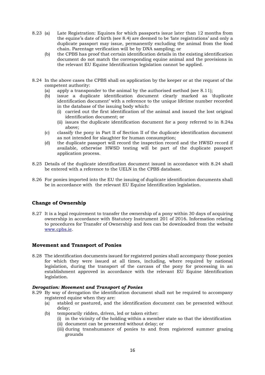- 8.23 (a) Late Registration: Equines for which passports issue later than 12 months from the equine's date of birth (see 8.4) are deemed to be 'late registrations' and only a duplicate passport may issue, permanently excluding the animal from the food chain. Parentage verification will be by DNA sampling; or
	- (b) the CPBS has proof that certain identification details in the existing identification document do not match the corresponding equine animal and the provisions in the relevant EU Equine Identification legislation cannot be applied.
- 8.24 In the above cases the CPBS shall on application by the keeper or at the request of the competent authority:
	- (a) apply a transponder to the animal by the authorised method (see 8.11);
	- (b) issue a duplicate identification document clearly marked as 'duplicate identification document' with a reference to the unique lifetime number recorded in the database of the issuing body which:
		- (i) carried out the first identification of the animal and issued the lost original identification document; or
		- (ii) issues the duplicate identification document for a pony referred to in 8.24a above;
	- (c) classify the pony in Part II of Section II of the duplicate identification document as not intended for slaughter for human consumption;
	- (d) the duplicate passport will record the inspection record and the HWSD record if available, otherwise HWSD testing will be part of the duplicate passport application process.
- 8.25 Details of the duplicate identification document issued in accordance with 8.24 shall be entered with a reference to the UELN in the CPBS database.
- 8.26 For ponies imported into the EU the issuing of duplicate identification documents shall be in accordance with the relevant EU Equine Identification legislation.

# **Change of Ownership**

8.27 It is a legal requirement to transfer the ownership of a pony within 30 days of acquiring ownership in accordance with Statutory Instrument 201 of 2016. Information relating to procedures for Transfer of Ownership and fees can be downloaded from the website [www.cpbs.ie.](http://www.cpbs.ie/)

## **Movement and Transport of Ponies**

8.28 The identification documents issued for registered ponies shall accompany those ponies for which they were issued at all times, including, where required by national legislation, during the transport of the carcass of the pony for processing in an establishment approved in accordance with the relevant EU Equine Identification legislation.

## *Derogation: Movement and Transport of Ponies*

- 8.29 By way of derogation the identification document shall not be required to accompany registered equine when they are:
	- (a} stabled or pastured, and the identification document can be presented without delay;
	- (b) temporarily ridden, driven, led or taken either:
		- (i) in the vicinity of the holding within a member state so that the identification
		- (ii) document can be presented without delay; or
		- (iii) during transhumance of ponies to and from registered summer grazing grounds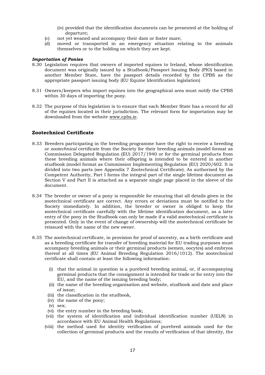- (iv) provided that the identification documents can be presented at the holding of departure;
- (c) not yet weaned and accompany their dam or foster mare;
- (d) moved or transported in an emergency situation relating to the animals themselves or to the holding on which they are kept.

## *Importation of Ponies*

- 8.30 Legislation requires that owners of imported equines to Ireland, whose identification document was originally issued by a Studbook/Passport Issuing Body (PIO) based in another Member State, have the passport details recorded by the CPBS as the appropriate passport issuing body (EU Equine Identification legislation)
- 8.31 Owners/keepers who import equines into the geographical area must notify the CPBS within 30 days of importing the pony.
- 8.32 The purpose of this legislation is to ensure that each Member State has a record for all of the equines located in their jurisdiction. The relevant form for importation may be downloaded from the website www.cpbs.ie.

# **Zootechnical Certificate**

- 8.33 Breeders participating in the breeding programme have the right to receive a breeding or *zootechnical* certificate from the Society for their breeding animals (model format as Commission Delegated Regulation (EU) 2017/1940 or for the germinal products from these breeding animals where their offspring is intended to be entered in another studbook (model format as Commission Implementing Regulation (EU) 2020/602. It is divided into two parts (see Appendix 7 Zootechnical Certificate). As authorised by the Competent Authority, Part I forms the integral part of the single lifetime document as Section V and Part II is attached as a separate single page placed in the sleeve of the document.
- 8.34 The breeder or owner of a pony is responsible for ensuring that all details given in the zootechnical certificate are correct. Any errors or deviations must be notified to the Society immediately. In addition, the breeder or owner is obliged to keep the zootechnical certificate carefully with the lifetime identification document, as a later entry of the pony in the Studbook can only be made if a valid zootechnical certificate is presented. Only in the event of change of ownership will the zootechnical certificate be reissued with the name of the new owner.
- 8.35 The zootechnical certificate, in provision for proof of ancestry, as a birth certificate and as a breeding certificate for transfer of breeding material for EU trading purposes must accompany breeding animals or their germinal products (semen, oocytes) and embryos thereof at all times (EU Animal Breeding Regulation 2016/1012). The zootechnical certificate shall contain at least the following information:
	- (i) that the animal in question is a purebred breeding animal, or, if accompanying germinal products that the consignment is intended for trade or for entry into the EU, and the name of the issuing breeding body;
	- (ii) the name of the breeding organisation and website, studbook and date and place of issue;
	- (iii) the classification in the studbook,
	- (iv) the name of the pony;
	- (v) sex;
	- (vi) the entry number in the breeding book;
	- (vii) the system of identification and individual identification number (UELN) in accordance with EU Animal Health Regulations;
	- (viii) the method used for identity verification of purebred animals used for the collection of germinal products and the results of verification of that identity, the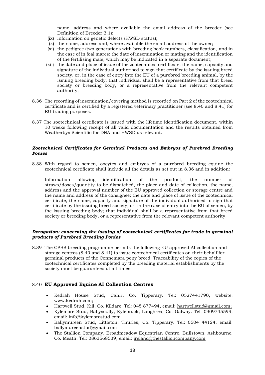name, address and where available the email address of the breeder (see Definition of Breeder 3.1);

- (ix) information on genetic defects (HWSD status);
- (x) the name, address and, where available the email address of the owner;
- (xi) the pedigree (two generations with breeding book numbers, classification, and in the case of in foal mares: the date of insemination or mating and the identification of the fertilising male, which may be indicated in a separate document;
- (xii) the date and place of issue of the zootechnical certificate, the name, capacity and signature of the individual authorised to sign that certificate by the issuing breed society, or, in the case of entry into the EU of a purebred breeding animal, by the issuing breeding body; that individual shall be a representative from that breed society or breeding body, or a representative from the relevant competent authority;
- 8.36 The recording of insemination/covering method is recorded on Part 2 of the zootechnical certificate and is certified by a registered veterinary practitioner (see 8.40 and 8.41) for EU trading purposes.
- 8.37 The zootechnical certificate is issued with the lifetime identification document, within 10 weeks following receipt of all valid documentation and the results obtained from Weatherbys Scientific for DNA and HWSD as relevant.

#### *Zootechnical Certificates for Germinal Products and Embryos of Purebred Breeding Ponies*

8.38 With regard to semen, oocytes and embryos of a purebred breeding equine the zootechnical certificate shall include all the details as set out in 8.36 and in addition:

Information allowing identification of the product, the number of straws/doses/quantity to be dispatched, the place and date of collection, the name, address and the approval number of the EU approved collection or storage centre and the name and address of the consignee; the date and place of issue of the zootechnical certificate, the name, capacity and signature of the individual authorised to sign that certificate by the issuing breed society, or, in the case of entry into the EU of semen, by the issuing breeding body; that individual shall be a representative from that breed society or breeding body, or a representative from the relevant competent authority.

## *Derogation: concerning the issuing of zootechnical certificates for trade in germinal products of Purebred Breeding Ponies*

8.39 The CPBS breeding programme permits the following EU approved AI collection and storage centres (8.40 and 8.41) to issue zootechnical certificates on their behalf for germinal products of the Connemara pony breed. Traceability of the copies of the zootechnical certificates completed by the breeding material establishments by the society must be guaranteed at all times.

# 8.40 **EU Approved Equine AI Collection Centres**

- Kedrah House Stud, Cahir, Co. Tipperary. Tel: 0527441790, website: [www.kedrah.com;](http://www.kedrah.com/)
- Hartwell Stud, Kill, Co. Kildare. Tel: 045 877494, email: [hartwellstud@gmail.com;](mailto:hartwellstud@gmail.com)
- Kylemore Stud, Ballyscully, Kylebrack, Loughrea, Co. Galway. Tel: 0909745599, email: [info@kylemorestud.com](mailto:info@kylemorestud.com)
- Ballymureen Stud, Littleton, Thurles, Co. Tipperary. Tel: 0504 44124, email: [ballymureenstud@gmail.com](mailto:ballymureenstud@gmail.com)
- The Stallion Company, Broadmeadow Equestrian Centre, Bullstown, Ashbourne, Co. Meath. Tel: 0863568539, email: ireland@thestallioncompany.com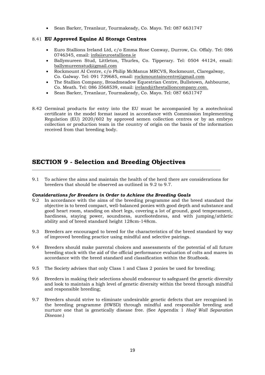• Sean Barker, Treanlaur, Tourmakeady, Co. Mayo. Tel: 087 6631747

# 8.41 **EU Approved Equine AI Storage Centres**

- Euro Stallions Ireland Ltd, c/o Emma Rose Conway, Durrow, Co. Offaly. Tel: 086 0746345, email: [info@eurostallions.ie](mailto:info@eurostallions.ie)
- Ballymureen Stud, Littleton, Thurles, Co. Tipperary. Tel: 0504 44124, email: [ballymureenstud@gmail.com](mailto:ballymureenstud@gmail.com)
- Rockmount AI Centre, c/o Philip McManus MRCVS, Rockmount, Claregalway, Co. Galway. Tel: 091 739685, email: [rockmountaincentre@gmail.com](mailto:rockmountaincentre@gmail.com)
- The Stallion Company, Broadmeadow Equestrian Centre, Bullstown, Ashbourne, Co. Meath. Tel: 086 3568539, email: [ireland@thestallioncompany.com.](mailto:ireland@thestallioncompany.com)
- Sean Barker, Treanlaur, Tourmakeady, Co. Mayo. Tel: 087 6631747
- 8.42 Germinal products for entry into the EU must be accompanied by a zootechnical certificate in the model format issued in accordance with Commission Implementing Regulation (EU) 2020/602 by approved semen collection centres or by an embryo collection or production team in the country of origin on the basis of the information received from that breeding body.

# **SECTION 9 - Selection and Breeding Objectives**

9.1 To achieve the aims and maintain the health of the herd there are considerations for breeders that should be observed as outlined in 9.2 to 9.7.

#### *Considerations for Breeders in Order to Achieve the Breeding Goals*

- 9.2 In accordance with the aims of the breeding programme and the breed standard the objective is to breed compact, well-balanced ponies with good depth and substance and good heart room, standing on short legs, covering a lot of ground, good temperament, hardiness, staying power, soundness, surefootedness, and with jumping/athletic ability and of breed standard height 128cm-148cm.
- 9.3 Breeders are encouraged to breed for the characteristics of the breed standard by way of improved breeding practice using mindful and selective pairings.
- 9.4 Breeders should make parental choices and assessments of the potential of all future breeding stock with the aid of the official performance evaluation of colts and mares in accordance with the breed standard and classification within the Studbook.
- 9.5 The Society advises that only Class 1 and Class 2 ponies be used for breeding;
- 9.6 Breeders in making their selections should endeavour to safeguard the genetic diversity and look to maintain a high level of genetic diversity within the breed through mindful and responsible breeding;
- 9.7 Breeders should strive to eliminate undesirable genetic defects that are recognised in the breeding programme (HWSD) through mindful and responsible breeding and nurture one that is genetically disease free. (See Appendix 1 *Hoof Wall Separation Disease*.)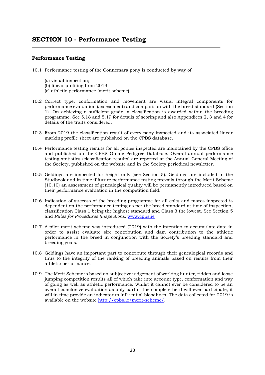# **Performance Testing**

- 10.1 Performance testing of the Connemara pony is conducted by way of:
	- (a) visual inspection;
	- (b) linear profiling from 2019;
	- (c) athletic performance (merit scheme)
- 10.2 Correct type, conformation and movement are visual integral components for performance evaluation (assessment) and comparison with the breed standard (Section 1). On achieving a sufficient grade, a classification is awarded within the breeding programme. See 5.18 and 5.19 for details of scoring and also Appendices 2, 3 and 4 for details of the traits considered.
- 10.3 From 2019 the classification result of every pony inspected and its associated linear marking profile sheet are published on the CPBS database.
- 10.4 Performance testing results for all ponies inspected are maintained by the CPBS office and published on the CPBS Online Pedigree Database. Overall annual performance testing statistics (classification results) are reported at the Annual General Meeting of the Society, published on the website and in the Society periodical newsletter.
- 10.5 Geldings are inspected for height only (see Section 5). Geldings are included in the Studbook and in time if future performance testing prevails through the Merit Scheme (10.10) an assessment of genealogical quality will be permanently introduced based on their performance evaluation in the competition field.
- 10.6 Indication of success of the breeding programme for all colts and mares inspected is dependent on the performance testing as per the breed standard at time of inspection, classification Class 1 being the highest standard and Class 3 the lowest. See Section 5 and *Rules for Procedures (Inspections)* [www.cpbs.ie](http://www.cpbs.ie/)
- 10.7 A pilot merit scheme was introduced (2019) with the intention to accumulate data in order to assist evaluate sire contribution and dam contribution to the athletic performance in the breed in conjunction with the Society's breeding standard and breeding goals.
- 10.8 Geldings have an important part to contribute through their genealogical records and thus to the integrity of the ranking of breeding animals based on results from their athletic performance.
- 10.9 The Merit Scheme is based on subjective judgement of working hunter, ridden and loose jumping competition results all of which take into account type, conformation and way of going as well as athletic performance. Whilst it cannot ever be considered to be an overall conclusive evaluation as only part of the complete herd will ever participate, it will in time provide an indicator to influential bloodlines. The data collected for 2019 is available on the website [http://cpbs.ie/merit-scheme/.](http://cpbs.ie/merit-scheme/)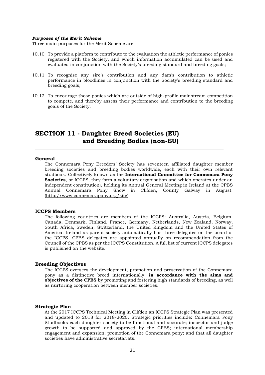#### *Purposes of the Merit Scheme*

Three main purposes for the Merit Scheme are:

- 10.10 To provide a platform to contribute to the evaluation the athletic performance of ponies registered with the Society, and which information accumulated can be used and evaluated in conjunction with the Society's breeding standard and breeding goals;
- 10.11 To recognise any sire's contribution and any dam's contribution to athletic performance in bloodlines in conjunction with the Society's breeding standard and breeding goals;
- 10.12 To encourage those ponies which are outside of high-profile mainstream competition to compete, and thereby assess their performance and contribution to the breeding goals of the Society.

# **SECTION 11 - Daughter Breed Societies (EU) and Breeding Bodies (non-EU)**

#### **General**

The Connemara Pony Breeders' Society has seventeen affiliated daughter member breeding societies and breeding bodies worldwide, each with their own relevant studbook. Collectively known as the **International Committee for Connemara Pony Societies**, or ICCPS, they form a voluntary organisation and which operates under an independent constitution), holding its Annual General Meeting in Ireland at the CPBS Annual Connemara Pony Show in Clifden, County Galway in August. (http://www.connemarapony.org/site)

#### **ICCPS Members**

The following countries are members of the ICCPS: Australia, Austria, Belgium, Canada, Denmark, Finland, France, Germany, Netherlands, New Zealand, Norway, South Africa, Sweden, Switzerland, the United Kingdom and the United States of America. Ireland as parent society automatically has three delegates on the board of the ICCPS. CPBS delegates are appointed annually on recommendation from the Council of the CPBS as per the ICCPS Constitution. A full list of current ICCPS delegates is published on the website.

#### **Breeding Objectives**

The ICCPS oversees the development, promotion and preservation of the Connemara pony as a distinctive breed internationally, **in accordance with the aims and objectives of the CPBS** by promoting and fostering high standards of breeding, as well as nurturing cooperation between member societies.

#### **Strategic Plan**

At the 2017 ICCPS Technical Meeting in Clifden an ICCPS Strategic Plan was presented and updated to 2018 for 2018-2020. Strategic priorities include: Connemara Pony Studbooks each daughter society to be functional and accurate; inspector and judge growth to be supported and approved by the CPBS; international membership engagement and expansion; promotion of the Connemara pony; and that all daughter societies have administrative secretariats.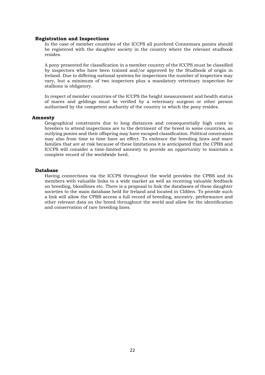#### **Registration and Inspections**

In the case of member countries of the ICCPS all purebred Connemara ponies should be registered with the daughter society in the country where the relevant studbook resides.

A pony presented for classification in a member country of the ICCPS must be classified by inspectors who have been trained and/or approved by the Studbook of origin in Ireland. Due to differing national systems for inspections the number of inspectors may vary, but a minimum of two inspectors plus a mandatory veterinary inspection for stallions is obligatory.

In respect of member countries of the ICCPS the height measurement and health status of mares and geldings must be verified by a veterinary surgeon or other person authorised by the competent authority of the country in which the pony resides.

#### **Amnesty**

Geographical constraints due to long distances and consequentially high costs to breeders to attend inspections are to the detriment of the breed in some countries, as outlying ponies and their offspring may have escaped classification. Political constraints may also from time to time have an effect. To embrace the breeding lines and mare families that are at risk because of these limitations it is anticipated that the CPBS and ICCPS will consider a time-limited amnesty to provide an opportunity to maintain a complete record of the worldwide herd.

#### **Database**

Having connections via the ICCPS throughout the world provides the CPBS and its members with valuable links to a wide market as well as receiving valuable feedback on breeding, bloodlines etc. There is a proposal to link the databases of these daughter societies to the main database held for Ireland and located in Clifden. To provide such a link will allow the CPBS access a full record of breeding, ancestry, performance and other relevant data on the breed throughout the world and allow for the identification and conservation of rare breeding lines.